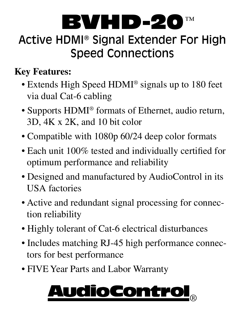

# Active HDMI® Signal Extender For High Speed Connections

#### **Key Features:**

- Extends High Speed HDMI® signals up to 180 feet via dual Cat-6 cabling
- Supports HDMI® formats of Ethernet, audio return, 3D, 4K x 2K, and 10 bit color
- Compatible with 1080p 60/24 deep color formats
- Each unit 100% tested and individually certified for optimum performance and reliability
- Designed and manufactured by AudioControl in its USA factories
- Active and redundant signal processing for connection reliability
- Highly tolerant of Cat-6 electrical disturbances
- Includes matching RJ-45 high performance connectors for best performance
- FIVE Year Parts and Labor Warranty

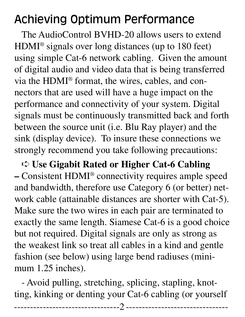# Achieving Optimum Performance

The AudioControl BVHD-20 allows users to extend HDMI® signals over long distances (up to 180 feet) using simple Cat-6 network cabling. Given the amount of digital audio and video data that is being transferred via the HDMI® format, the wires, cables, and connectors that are used will have a huge impact on the performance and connectivity of your system. Digital signals must be continuously transmitted back and forth between the source unit (i.e. Blu Ray player) and the sink (display device). To insure these connections we strongly recommend you take following precautions:

➪ **Use Gigabit Rated or Higher Cat-6 Cabling –** Consistent HDMI® connectivity requires ample speed and bandwidth, therefore use Category 6 (or better) network cable (attainable distances are shorter with Cat-5). Make sure the two wires in each pair are terminated to exactly the same length. Siamese Cat-6 is a good choice but not required. Digital signals are only as strong as the weakest link so treat all cables in a kind and gentle fashion (see below) using large bend radiuses (minimum 1.25 inches).

- Avoid pulling, stretching, splicing, stapling, knotting, kinking or denting your Cat-6 cabling (or yourself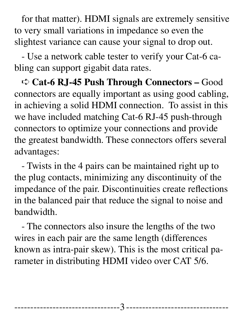for that matter). HDMI signals are extremely sensitive to very small variations in impedance so even the slightest variance can cause your signal to drop out.

- Use a network cable tester to verify your Cat-6 cabling can support gigabit data rates.

➪ **Cat-6 RJ-45 Push Through Connectors –** Good connectors are equally important as using good cabling, in achieving a solid HDMI connection. To assist in this we have included matching Cat-6 RJ-45 push-through connectors to optimize your connections and provide the greatest bandwidth. These connectors offers several advantages:

- Twists in the 4 pairs can be maintained right up to the plug contacts, minimizing any discontinuity of the impedance of the pair. Discontinuities create reflections in the balanced pair that reduce the signal to noise and bandwidth.

- The connectors also insure the lengths of the two wires in each pair are the same length (differences known as intra-pair skew). This is the most critical parameter in distributing HDMI video over CAT 5/6.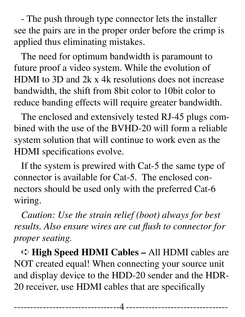- The push through type connector lets the installer see the pairs are in the proper order before the crimp is applied thus eliminating mistakes.

The need for optimum bandwidth is paramount to future proof a video system. While the evolution of HDMI to 3D and 2k x 4k resolutions does not increase bandwidth, the shift from 8bit color to 10bit color to reduce banding effects will require greater bandwidth.

The enclosed and extensively tested RJ-45 plugs combined with the use of the BVHD-20 will form a reliable system solution that will continue to work even as the HDMI specifications evolve.

If the system is prewired with Cat-5 the same type of connector is available for Cat-5. The enclosed connectors should be used only with the preferred Cat-6 wiring.

*Caution: Use the strain relief (boot) always for best results. Also ensure wires are cut flush to connector for proper seating.*

➪ **High Speed HDMI Cables –** All HDMI cables are NOT created equal! When connecting your source unit and display device to the HDD-20 sender and the HDR-20 receiver, use HDMI cables that are specifically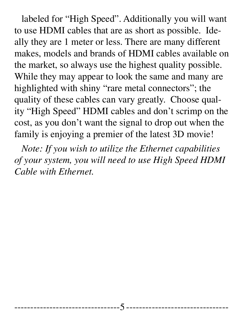labeled for "High Speed". Additionally you will want to use HDMI cables that are as short as possible. Ideally they are 1 meter or less. There are many different makes, models and brands of HDMI cables available on the market, so always use the highest quality possible. While they may appear to look the same and many are highlighted with shiny "rare metal connectors"; the quality of these cables can vary greatly. Choose quality "High Speed" HDMI cables and don't scrimp on the cost, as you don't want the signal to drop out when the family is enjoying a premier of the latest 3D movie!

*Note: If you wish to utilize the Ethernet capabilities of your system, you will need to use High Speed HDMI Cable with Ethernet.*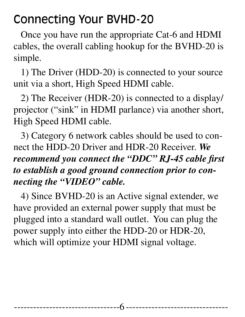#### Connecting Your BVHD-20

Once you have run the appropriate Cat-6 and HDMI cables, the overall cabling hookup for the BVHD-20 is simple.

1) The Driver (HDD-20) is connected to your source unit via a short, High Speed HDMI cable.

2) The Receiver (HDR-20) is connected to a display/ projector ("sink" in HDMI parlance) via another short, High Speed HDMI cable.

3) Category 6 network cables should be used to connect the HDD-20 Driver and HDR-20 Receiver. *We recommend you connect the "DDC" RJ-45 cable first to establish a good ground connection prior to connecting the "VIDEO" cable.* 

4) Since BVHD-20 is an Active signal extender, we have provided an external power supply that must be plugged into a standard wall outlet. You can plug the power supply into either the HDD-20 or HDR-20, which will optimize your HDMI signal voltage.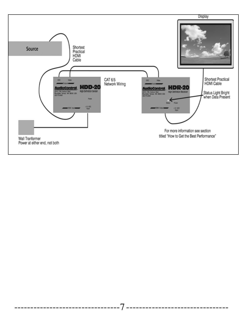

--------------------------

-------------------------------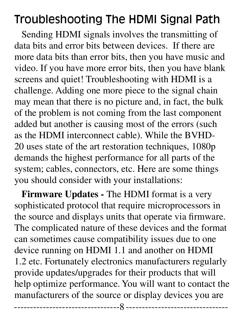### Troubleshooting The HDMI Signal Path

Sending HDMI signals involves the transmitting of data bits and error bits between devices. If there are more data bits than error bits, then you have music and video. If you have more error bits, then you have blank screens and quiet! Troubleshooting with HDMI is a challenge. Adding one more piece to the signal chain may mean that there is no picture and, in fact, the bulk of the problem is not coming from the last component added but another is causing most of the errors (such as the HDMI interconnect cable). While the BVHD-20 uses state of the art restoration techniques, 1080p demands the highest performance for all parts of the system; cables, connectors, etc. Here are some things you should consider with your installations:

**Firmware Updates -** The HDMI format is a very sophisticated protocol that require microprocessors in the source and displays units that operate via firmware. The complicated nature of these devices and the format can sometimes cause compatibility issues due to one device running on HDMI 1.1 and another on HDMI 1.2 etc. Fortunately electronics manufacturers regularly provide updates/upgrades for their products that will help optimize performance. You will want to contact the manufacturers of the source or display devices you are

--------------------------------- --------------------------------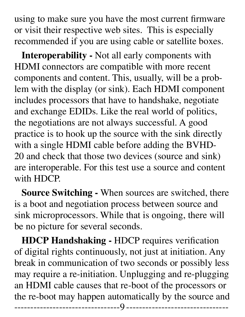using to make sure you have the most current firmware or visit their respective web sites. This is especially recommended if you are using cable or satellite boxes.

**Interoperability -** Not all early components with HDMI connectors are compatible with more recent components and content. This, usually, will be a problem with the display (or sink). Each HDMI component includes processors that have to handshake, negotiate and exchange EDIDs. Like the real world of politics, the negotiations are not always successful. A good practice is to hook up the source with the sink directly with a single HDMI cable before adding the BVHD-20 and check that those two devices (source and sink) are interoperable. For this test use a source and content with HDCP.

**Source Switching -** When sources are switched, there is a boot and negotiation process between source and sink microprocessors. While that is ongoing, there will be no picture for several seconds.

**HDCP Handshaking -** HDCP requires verification of digital rights continuously, not just at initiation. Any break in communication of two seconds or possibly less may require a re-initiation. Unplugging and re-plugging an HDMI cable causes that re-boot of the processors or the re-boot may happen automatically by the source and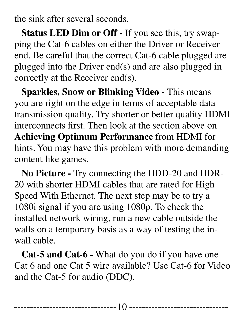the sink after several seconds.

**Status LED Dim or Off -** If you see this, try swapping the Cat-6 cables on either the Driver or Receiver end. Be careful that the correct Cat-6 cable plugged are plugged into the Driver end(s) and are also plugged in correctly at the Receiver end(s).

**Sparkles, Snow or Blinking Video -** This means you are right on the edge in terms of acceptable data transmission quality. Try shorter or better quality HDMI interconnects first. Then look at the section above on **Achieving Optimum Performance** from HDMI for hints. You may have this problem with more demanding content like games.

**No Picture -** Try connecting the HDD-20 and HDR-20 with shorter HDMI cables that are rated for High Speed With Ethernet. The next step may be to try a 1080i signal if you are using 1080p. To check the installed network wiring, run a new cable outside the walls on a temporary basis as a way of testing the inwall cable.

**Cat-5 and Cat-6 -** What do you do if you have one Cat 6 and one Cat 5 wire available? Use Cat-6 for Video and the Cat-5 for audio (DDC).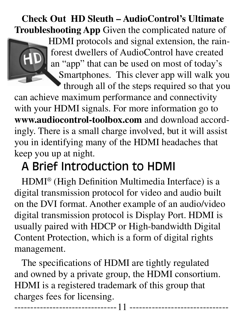**Check Out HD Sleuth – AudioControl's Ultimate Troubleshooting App** Given the complicated nature of

> HDMI protocols and signal extension, the rainforest dwellers of AudioControl have created an "app" that can be used on most of today's Smartphones. This clever app will walk you through all of the steps required so that you

can achieve maximum performance and connectivity with your HDMI signals. For more information go to **www.audiocontrol-toolbox.com** and download accordingly. There is a small charge involved, but it will assist you in identifying many of the HDMI headaches that keep you up at night.

# A Brief Introduction to HDMI

HDMI® (High Definition Multimedia Interface) is a digital transmission protocol for video and audio built on the DVI format. Another example of an audio/video digital transmission protocol is Display Port. HDMI is usually paired with HDCP or High-bandwidth Digital Content Protection, which is a form of digital rights management.

The specifications of HDMI are tightly regulated and owned by a private group, the HDMI consortium. HDMI is a registered trademark of this group that charges fees for licensing.

--------------------------------11 -------------------------------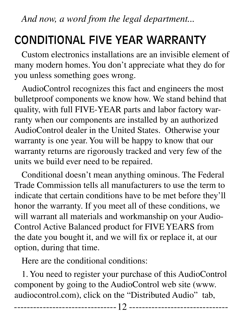*And now, a word from the legal department...*

# CONDITIONAL FIVE YEAR WARRANTY

Custom electronics installations are an invisible element of many modern homes. You don't appreciate what they do for you unless something goes wrong.

AudioControl recognizes this fact and engineers the most bulletproof components we know how. We stand behind that quality, with full FIVE-YEAR parts and labor factory warranty when our components are installed by an authorized AudioControl dealer in the United States. Otherwise your warranty is one year. You will be happy to know that our warranty returns are rigorously tracked and very few of the units we build ever need to be repaired.

Conditional doesn't mean anything ominous. The Federal Trade Commission tells all manufacturers to use the term to indicate that certain conditions have to be met before they'll honor the warranty. If you meet all of these conditions, we will warrant all materials and workmanship on your Audio-Control Active Balanced product for FIVE YEARS from the date you bought it, and we will fix or replace it, at our option, during that time.

Here are the conditional conditions:

1. You need to register your purchase of this AudioControl component by going to the AudioControl web site (www. audiocontrol.com), click on the "Distributed Audio" tab,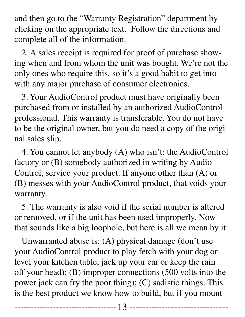and then go to the "Warranty Registration" department by clicking on the appropriate text. Follow the directions and complete all of the information.

2. A sales receipt is required for proof of purchase showing when and from whom the unit was bought. We're not the only ones who require this, so it's a good habit to get into with any major purchase of consumer electronics.

3. Your AudioControl product must have originally been purchased from or installed by an authorized AudioControl professional. This warranty is transferable. You do not have to be the original owner, but you do need a copy of the original sales slip.

4. You cannot let anybody (A) who isn't: the AudioControl factory or (B) somebody authorized in writing by Audio-Control, service your product. If anyone other than (A) or (B) messes with your AudioControl product, that voids your warranty.

5. The warranty is also void if the serial number is altered or removed, or if the unit has been used improperly. Now that sounds like a big loophole, but here is all we mean by it:

Unwarranted abuse is: (A) physical damage (don't use your AudioControl product to play fetch with your dog or level your kitchen table, jack up your car or keep the rain off your head); (B) improper connections (500 volts into the power jack can fry the poor thing); (C) sadistic things. This is the best product we know how to build, but if you mount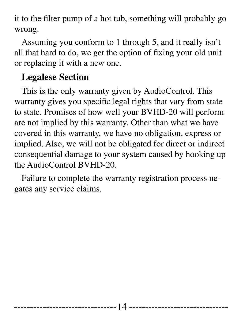it to the filter pump of a hot tub, something will probably go wrong.

Assuming you conform to 1 through 5, and it really isn't all that hard to do, we get the option of fixing your old unit or replacing it with a new one.

#### **Legalese Section**

This is the only warranty given by AudioControl. This warranty gives you specific legal rights that vary from state to state. Promises of how well your BVHD-20 will perform are not implied by this warranty. Other than what we have covered in this warranty, we have no obligation, express or implied. Also, we will not be obligated for direct or indirect consequential damage to your system caused by hooking up the AudioControl BVHD-20.

Failure to complete the warranty registration process negates any service claims.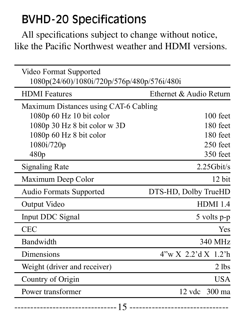# BVHD-20 Specifications

All specifications subject to change without notice, like the Pacific Northwest weather and HDMI versions.

| Video Format Supported<br>1080p(24/60)/1080i/720p/576p/480p/576i/480i |                         |
|-----------------------------------------------------------------------|-------------------------|
| <b>HDMI</b> Features                                                  | Ethernet & Audio Return |
| Maximum Distances using CAT-6 Cabling                                 |                         |
| 1080p 60 Hz 10 bit color                                              | $100$ feet              |
| 1080p 30 Hz 8 bit color w 3D                                          | 180 feet                |
| 1080p 60 Hz 8 bit color                                               | 180 feet                |
| 1080i/720p                                                            | 250 feet                |
| 480 <sub>p</sub>                                                      | 350 feet                |
| <b>Signaling Rate</b>                                                 | $2.25$ Ghit/s           |
| Maximum Deep Color                                                    | 12 bit                  |
| <b>Audio Formats Supported</b>                                        | DTS-HD, Dolby TrueHD    |
| Output Video                                                          | <b>HDMI 1.4</b>         |
| Input DDC Signal                                                      | 5 volts p-p             |
| <b>CEC</b>                                                            | <b>Yes</b>              |
| Bandwidth                                                             | 340 MHz                 |
| Dimensions                                                            | $4''wX$ 2.2'd $X$ 1.2'h |
| Weight (driver and receiver)                                          | $2$ lbs                 |
| Country of Origin                                                     | <b>USA</b>              |
| Power transformer                                                     | 12 vdc 300 ma           |
| 15                                                                    |                         |